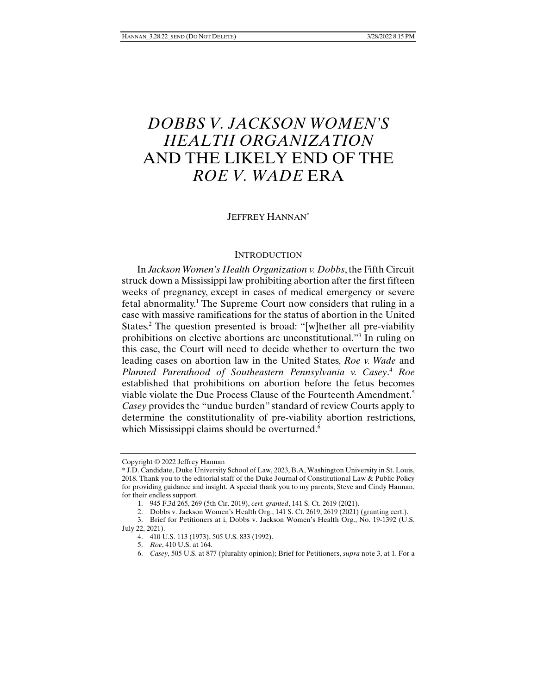# *DOBBS V. JACKSON WOMEN'S HEALTH ORGANIZATION* AND THE LIKELY END OF THE *ROE V. WADE* ERA

# JEFFREY HANNAN\*

#### **INTRODUCTION**

In *Jackson Women's Health Organization v. Dobbs*, the Fifth Circuit struck down a Mississippi law prohibiting abortion after the first fifteen weeks of pregnancy, except in cases of medical emergency or severe fetal abnormality.<sup>1</sup> The Supreme Court now considers that ruling in a case with massive ramifications for the status of abortion in the United States.<sup>2</sup> The question presented is broad: "[w]hether all pre-viability prohibitions on elective abortions are unconstitutional."3 In ruling on this case, the Court will need to decide whether to overturn the two leading cases on abortion law in the United States, *Roe v. Wade* and *Planned Parenthood of Southeastern Pennsylvania v. Casey*. <sup>4</sup> *Roe*  established that prohibitions on abortion before the fetus becomes viable violate the Due Process Clause of the Fourteenth Amendment.5 *Casey* provides the "undue burden" standard of review Courts apply to determine the constitutionality of pre-viability abortion restrictions, which Mississippi claims should be overturned.<sup>6</sup>

Copyright © 2022 Jeffrey Hannan

<sup>\*</sup> J.D. Candidate, Duke University School of Law, 2023, B.A, Washington University in St. Louis, 2018. Thank you to the editorial staff of the Duke Journal of Constitutional Law & Public Policy for providing guidance and insight. A special thank you to my parents, Steve and Cindy Hannan, for their endless support.

 <sup>1. 945</sup> F.3d 265, 269 (5th Cir. 2019), *cert. granted*, 141 S. Ct. 2619 (2021).

 <sup>2.</sup> Dobbs v. Jackson Women's Health Org., 141 S. Ct. 2619, 2619 (2021) (granting cert.).

 <sup>3.</sup> Brief for Petitioners at i, Dobbs v. Jackson Women's Health Org., No. 19-1392 (U.S. July 22, 2021).

 <sup>4. 410</sup> U.S. 113 (1973), 505 U.S. 833 (1992).

 <sup>5.</sup> *Roe*, 410 U.S. at 164.

 <sup>6.</sup> *Casey*, 505 U.S. at 877 (plurality opinion); Brief for Petitioners, *supra* note 3, at 1. For a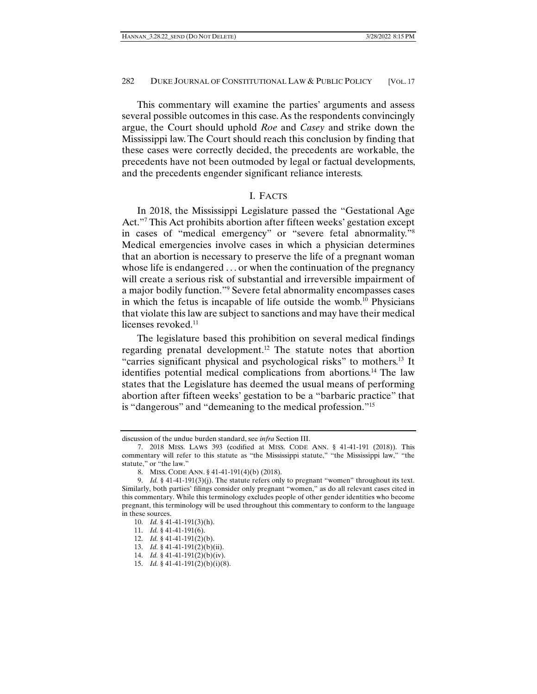This commentary will examine the parties' arguments and assess several possible outcomes in this case. As the respondents convincingly argue, the Court should uphold *Roe* and *Casey* and strike down the Mississippi law. The Court should reach this conclusion by finding that these cases were correctly decided, the precedents are workable, the precedents have not been outmoded by legal or factual developments, and the precedents engender significant reliance interests.

#### I. FACTS

In 2018, the Mississippi Legislature passed the "Gestational Age Act."7 This Act prohibits abortion after fifteen weeks' gestation except in cases of "medical emergency" or "severe fetal abnormality."8 Medical emergencies involve cases in which a physician determines that an abortion is necessary to preserve the life of a pregnant woman whose life is endangered . . . or when the continuation of the pregnancy will create a serious risk of substantial and irreversible impairment of a major bodily function."9 Severe fetal abnormality encompasses cases in which the fetus is incapable of life outside the womb.10 Physicians that violate this law are subject to sanctions and may have their medical licenses revoked. $11$ 

The legislature based this prohibition on several medical findings regarding prenatal development.12 The statute notes that abortion "carries significant physical and psychological risks" to mothers.13 It identifies potential medical complications from abortions.14 The law states that the Legislature has deemed the usual means of performing abortion after fifteen weeks' gestation to be a "barbaric practice" that is "dangerous" and "demeaning to the medical profession."15

discussion of the undue burden standard, see *infra* Section III.

 <sup>7. 2018</sup> MISS. LAWS 393 (codified at MISS. CODE ANN. § 41-41-191 (2018)). This commentary will refer to this statute as "the Mississippi statute," "the Mississippi law," "the statute," or "the law."

 <sup>8.</sup> MISS. CODE ANN. § 41-41-191(4)(b) (2018).

 <sup>9.</sup> *Id.* § 41-41-191(3)(j). The statute refers only to pregnant "women" throughout its text. Similarly, both parties' filings consider only pregnant "women," as do all relevant cases cited in this commentary. While this terminology excludes people of other gender identities who become pregnant, this terminology will be used throughout this commentary to conform to the language in these sources.

 <sup>10.</sup> *Id.* § 41-41-191(3)(h).

 <sup>11.</sup> *Id.* § 41-41-191(6).

 <sup>12.</sup> *Id.* § 41-41-191(2)(b).

 <sup>13.</sup> *Id.* § 41-41-191(2)(b)(ii).

 <sup>14.</sup> *Id.* § 41-41-191(2)(b)(iv).

 <sup>15.</sup> *Id.* § 41-41-191(2)(b)(i)(8).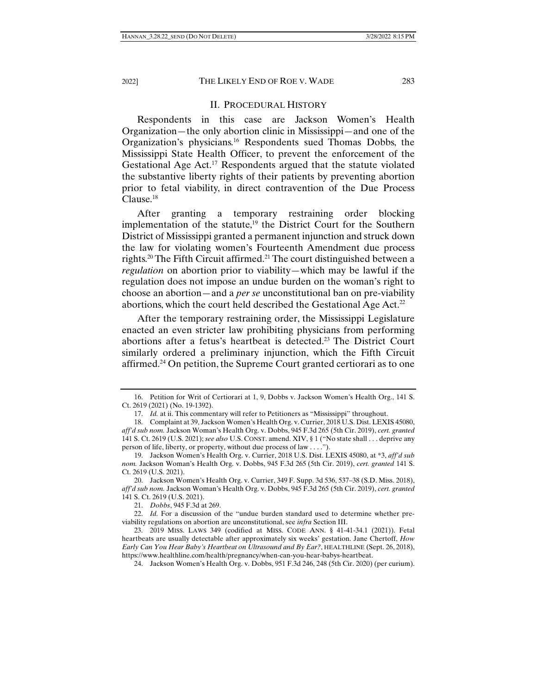#### II. PROCEDURAL HISTORY

Respondents in this case are Jackson Women's Health Organization—the only abortion clinic in Mississippi—and one of the Organization's physicians.16 Respondents sued Thomas Dobbs, the Mississippi State Health Officer, to prevent the enforcement of the Gestational Age Act.<sup>17</sup> Respondents argued that the statute violated the substantive liberty rights of their patients by preventing abortion prior to fetal viability, in direct contravention of the Due Process Clause.<sup>18</sup>

After granting a temporary restraining order blocking implementation of the statute, $19$  the District Court for the Southern District of Mississippi granted a permanent injunction and struck down the law for violating women's Fourteenth Amendment due process rights.<sup>20</sup> The Fifth Circuit affirmed.<sup>21</sup> The court distinguished between a *regulation* on abortion prior to viability—which may be lawful if the regulation does not impose an undue burden on the woman's right to choose an abortion—and a *per se* unconstitutional ban on pre-viability abortions, which the court held described the Gestational Age Act.<sup>22</sup>

After the temporary restraining order, the Mississippi Legislature enacted an even stricter law prohibiting physicians from performing abortions after a fetus's heartbeat is detected.23 The District Court similarly ordered a preliminary injunction, which the Fifth Circuit affirmed.24 On petition, the Supreme Court granted certiorari as to one

 <sup>16.</sup> Petition for Writ of Certiorari at 1, 9, Dobbs v. Jackson Women's Health Org., 141 S. Ct. 2619 (2021) (No. 19-1392).

 <sup>17.</sup> *Id.* at ii. This commentary will refer to Petitioners as "Mississippi" throughout.

 <sup>18.</sup> Complaint at 39, Jackson Women's Health Org. v. Currier, 2018 U.S. Dist. LEXIS 45080, *aff'd sub nom.* Jackson Woman's Health Org. v. Dobbs, 945 F.3d 265 (5th Cir. 2019), *cert. granted* 141 S. Ct. 2619 (U.S. 2021); *see also* U.S. CONST. amend. XIV, § 1 ("No state shall . . . deprive any person of life, liberty, or property, without due process of law . . . .").

 <sup>19.</sup> Jackson Women's Health Org. v. Currier, 2018 U.S. Dist. LEXIS 45080, at \*3, *aff'd sub nom.* Jackson Woman's Health Org. v. Dobbs, 945 F.3d 265 (5th Cir. 2019), *cert. granted* 141 S. Ct. 2619 (U.S. 2021).

 <sup>20.</sup> Jackson Women's Health Org. v. Currier, 349 F. Supp. 3d 536, 537–38 (S.D. Miss. 2018), *aff'd sub nom.* Jackson Woman's Health Org. v. Dobbs, 945 F.3d 265 (5th Cir. 2019), *cert. granted* 141 S. Ct. 2619 (U.S. 2021).

 <sup>21.</sup> *Dobbs*, 945 F.3d at 269.

 <sup>22.</sup> *Id.* For a discussion of the "undue burden standard used to determine whether previability regulations on abortion are unconstitutional, see *infra* Section III.

 <sup>23. 2019</sup> MISS. LAWS 349 (codified at MISS. CODE ANN. § 41-41-34.1 (2021)). Fetal heartbeats are usually detectable after approximately six weeks' gestation. Jane Chertoff, *How Early Can You Hear Baby's Heartbeat on Ultrasound and By Ear?*, HEALTHLINE (Sept. 26, 2018), https://www.healthline.com/health/pregnancy/when-can-you-hear-babys-heartbeat.

 <sup>24.</sup> Jackson Women's Health Org. v. Dobbs, 951 F.3d 246, 248 (5th Cir. 2020) (per curium).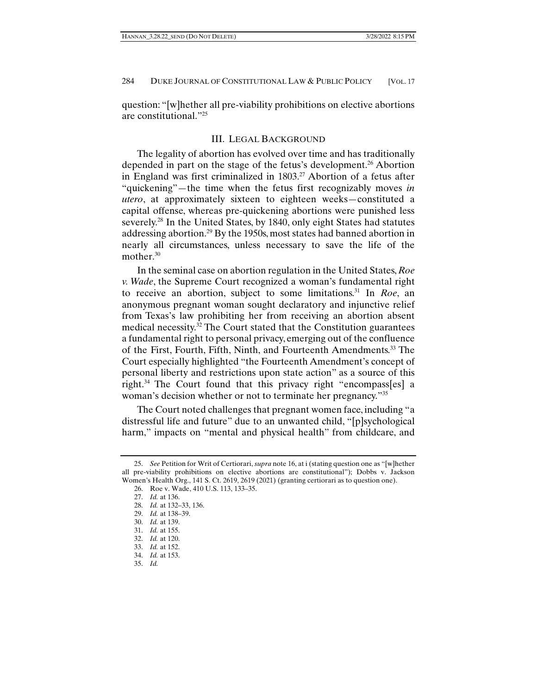question: "[w]hether all pre-viability prohibitions on elective abortions are constitutional."25

#### III. LEGAL BACKGROUND

The legality of abortion has evolved over time and has traditionally depended in part on the stage of the fetus's development.<sup>26</sup> Abortion in England was first criminalized in 1803.<sup>27</sup> Abortion of a fetus after "quickening"—the time when the fetus first recognizably moves *in utero*, at approximately sixteen to eighteen weeks—constituted a capital offense, whereas pre-quickening abortions were punished less severely.<sup>28</sup> In the United States, by 1840, only eight States had statutes addressing abortion.29 By the 1950s, most states had banned abortion in nearly all circumstances, unless necessary to save the life of the mother.<sup>30</sup>

In the seminal case on abortion regulation in the United States, *Roe v. Wade*, the Supreme Court recognized a woman's fundamental right to receive an abortion, subject to some limitations.31 In *Roe*, an anonymous pregnant woman sought declaratory and injunctive relief from Texas's law prohibiting her from receiving an abortion absent medical necessity.<sup>32</sup> The Court stated that the Constitution guarantees a fundamental right to personal privacy, emerging out of the confluence of the First, Fourth, Fifth, Ninth, and Fourteenth Amendments.<sup>33</sup> The Court especially highlighted "the Fourteenth Amendment's concept of personal liberty and restrictions upon state action" as a source of this right.34 The Court found that this privacy right "encompass[es] a woman's decision whether or not to terminate her pregnancy."35

The Court noted challenges that pregnant women face, including "a distressful life and future" due to an unwanted child, "[p]sychological harm," impacts on "mental and physical health" from childcare, and

 <sup>25.</sup> *See* Petition for Writ of Certiorari, *supra* note 16, at i (stating question one as "[w]hether all pre-viability prohibitions on elective abortions are constitutional"); Dobbs v. Jackson Women's Health Org., 141 S. Ct. 2619, 2619 (2021) (granting certiorari as to question one).

 <sup>26.</sup> Roe v. Wade, 410 U.S. 113, 133–35.

 <sup>27.</sup> *Id.* at 136.

 <sup>28.</sup> *Id.* at 132–33, 136.

 <sup>29.</sup> *Id.* at 138–39.

 <sup>30.</sup> *Id.* at 139.

 <sup>31.</sup> *Id.* at 155.

 <sup>32.</sup> *Id.* at 120.

 <sup>33.</sup> *Id.* at 152.

 <sup>34.</sup> *Id.* at 153.

 <sup>35.</sup> *Id.*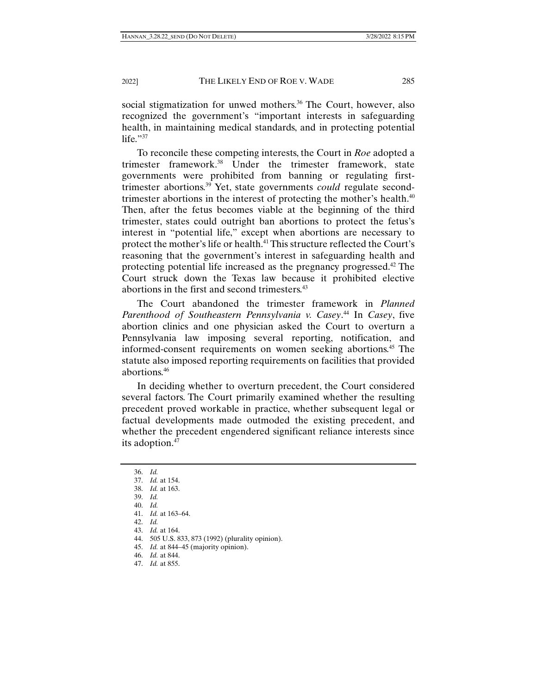social stigmatization for unwed mothers.<sup>36</sup> The Court, however, also recognized the government's "important interests in safeguarding health, in maintaining medical standards, and in protecting potential life. $"37$ 

To reconcile these competing interests, the Court in *Roe* adopted a trimester framework.38 Under the trimester framework, state governments were prohibited from banning or regulating firsttrimester abortions.39 Yet, state governments *could* regulate secondtrimester abortions in the interest of protecting the mother's health.<sup>40</sup> Then, after the fetus becomes viable at the beginning of the third trimester, states could outright ban abortions to protect the fetus's interest in "potential life," except when abortions are necessary to protect the mother's life or health.41 This structure reflected the Court's reasoning that the government's interest in safeguarding health and protecting potential life increased as the pregnancy progressed.42 The Court struck down the Texas law because it prohibited elective abortions in the first and second trimesters.<sup>43</sup>

The Court abandoned the trimester framework in *Planned Parenthood of Southeastern Pennsylvania v. Casey*. 44 In *Casey*, five abortion clinics and one physician asked the Court to overturn a Pennsylvania law imposing several reporting, notification, and informed-consent requirements on women seeking abortions.45 The statute also imposed reporting requirements on facilities that provided abortions.46

In deciding whether to overturn precedent, the Court considered several factors. The Court primarily examined whether the resulting precedent proved workable in practice, whether subsequent legal or factual developments made outmoded the existing precedent, and whether the precedent engendered significant reliance interests since its adoption.<sup>47</sup>

 <sup>36.</sup> *Id.*

 <sup>37.</sup> *Id.* at 154.

 <sup>38.</sup> *Id.* at 163.

 <sup>39.</sup> *Id.*

 <sup>40.</sup> *Id.*

 <sup>41.</sup> *Id.* at 163–64.

 <sup>42.</sup> *Id.*

 <sup>43.</sup> *Id.* at 164.

 <sup>44. 505</sup> U.S. 833, 873 (1992) (plurality opinion).

 <sup>45.</sup> *Id.* at 844–45 (majority opinion).

 <sup>46.</sup> *Id.* at 844.

 <sup>47.</sup> *Id.* at 855.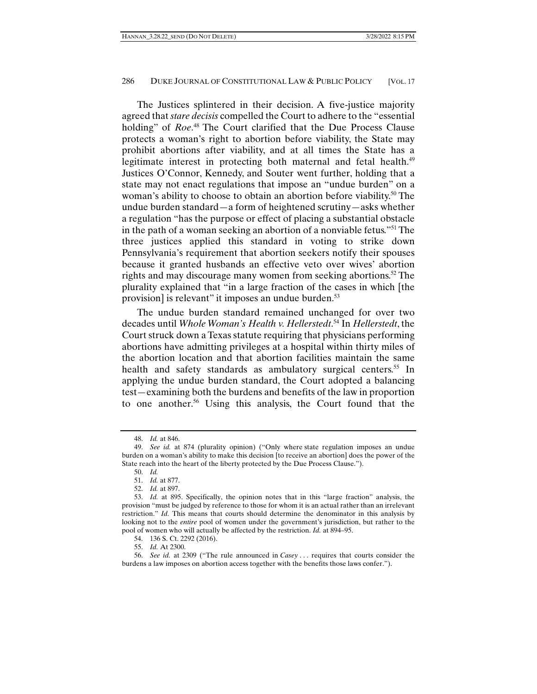The Justices splintered in their decision. A five-justice majority agreed that *stare decisis* compelled the Court to adhere to the "essential holding" of *Roe*. 48 The Court clarified that the Due Process Clause protects a woman's right to abortion before viability, the State may prohibit abortions after viability, and at all times the State has a legitimate interest in protecting both maternal and fetal health.<sup>49</sup> Justices O'Connor, Kennedy, and Souter went further, holding that a state may not enact regulations that impose an "undue burden" on a woman's ability to choose to obtain an abortion before viability.<sup>50</sup> The undue burden standard—a form of heightened scrutiny—asks whether a regulation "has the purpose or effect of placing a substantial obstacle in the path of a woman seeking an abortion of a nonviable fetus."51 The three justices applied this standard in voting to strike down Pennsylvania's requirement that abortion seekers notify their spouses because it granted husbands an effective veto over wives' abortion rights and may discourage many women from seeking abortions.<sup>52</sup> The plurality explained that "in a large fraction of the cases in which [the provision] is relevant" it imposes an undue burden.<sup>53</sup>

The undue burden standard remained unchanged for over two decades until *Whole Woman's Health v. Hellerstedt*. 54 In *Hellerstedt*, the Court struck down a Texas statute requiring that physicians performing abortions have admitting privileges at a hospital within thirty miles of the abortion location and that abortion facilities maintain the same health and safety standards as ambulatory surgical centers.<sup>55</sup> In applying the undue burden standard, the Court adopted a balancing test—examining both the burdens and benefits of the law in proportion to one another.<sup>56</sup> Using this analysis, the Court found that the

 <sup>48.</sup> *Id.* at 846.

 <sup>49.</sup> *See id.* at 874 (plurality opinion) ("Only where state regulation imposes an undue burden on a woman's ability to make this decision [to receive an abortion] does the power of the State reach into the heart of the liberty protected by the Due Process Clause.").

 <sup>50.</sup> *Id.*

 <sup>51.</sup> *Id.* at 877.

 <sup>52.</sup> *Id.* at 897.

 <sup>53.</sup> *Id.* at 895. Specifically, the opinion notes that in this "large fraction" analysis, the provision "must be judged by reference to those for whom it is an actual rather than an irrelevant restriction." *Id.* This means that courts should determine the denominator in this analysis by looking not to the *entire* pool of women under the government's jurisdiction, but rather to the pool of women who will actually be affected by the restriction. *Id.* at 894–95.

 <sup>54. 136</sup> S. Ct. 2292 (2016).

 <sup>55.</sup> *Id.* At 2300.

 <sup>56.</sup> *See id.* at 2309 ("The rule announced in *Casey* . . . requires that courts consider the burdens a law imposes on abortion access together with the benefits those laws confer.").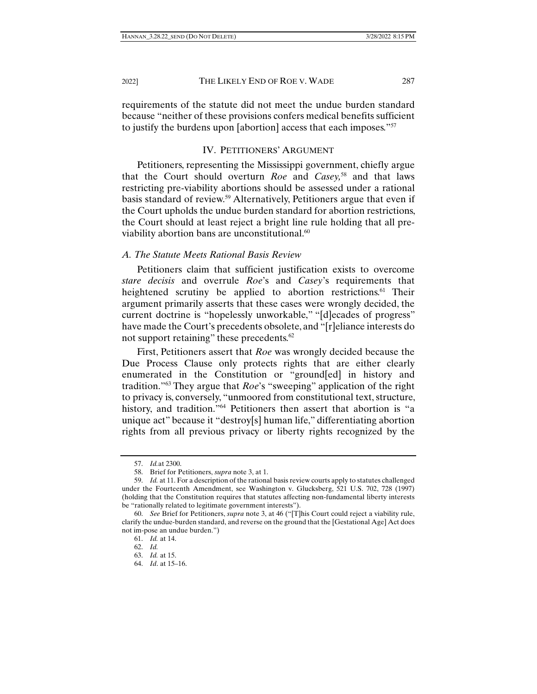requirements of the statute did not meet the undue burden standard because "neither of these provisions confers medical benefits sufficient to justify the burdens upon [abortion] access that each imposes."<sup>57</sup>

# IV. PETITIONERS' ARGUMENT

Petitioners, representing the Mississippi government, chiefly argue that the Court should overturn *Roe* and *Casey,*58 and that laws restricting pre-viability abortions should be assessed under a rational basis standard of review.59 Alternatively, Petitioners argue that even if the Court upholds the undue burden standard for abortion restrictions, the Court should at least reject a bright line rule holding that all previability abortion bans are unconstitutional.<sup>60</sup>

## *A. The Statute Meets Rational Basis Review*

Petitioners claim that sufficient justification exists to overcome *stare decisis* and overrule *Roe*'s and *Casey*'s requirements that heightened scrutiny be applied to abortion restrictions.<sup>61</sup> Their argument primarily asserts that these cases were wrongly decided, the current doctrine is "hopelessly unworkable," "[d]ecades of progress" have made the Court's precedents obsolete, and "[r]eliance interests do not support retaining" these precedents.<sup>62</sup>

First, Petitioners assert that *Roe* was wrongly decided because the Due Process Clause only protects rights that are either clearly enumerated in the Constitution or "ground[ed] in history and tradition."63 They argue that *Roe*'s "sweeping" application of the right to privacy is, conversely, "unmoored from constitutional text, structure, history, and tradition."<sup>64</sup> Petitioners then assert that abortion is "a unique act" because it "destroy[s] human life," differentiating abortion rights from all previous privacy or liberty rights recognized by the

 <sup>57.</sup> *Id.*at 2300.

 <sup>58.</sup> Brief for Petitioners, *supra* note 3, at 1.

 <sup>59.</sup> *Id.* at 11. For a description of the rational basis review courts apply to statutes challenged under the Fourteenth Amendment, see Washington v. Glucksberg, 521 U.S. 702, 728 (1997) (holding that the Constitution requires that statutes affecting non-fundamental liberty interests be "rationally related to legitimate government interests").

 <sup>60.</sup> *See* Brief for Petitioners, *supra* note 3, at 46 ("[T]his Court could reject a viability rule, clarify the undue-burden standard, and reverse on the ground that the [Gestational Age] Act does not im-pose an undue burden.")

 <sup>61.</sup> *Id.* at 14.

 <sup>62.</sup> *Id.*

 <sup>63.</sup> *Id.* at 15.

 <sup>64.</sup> *Id*. at 15–16.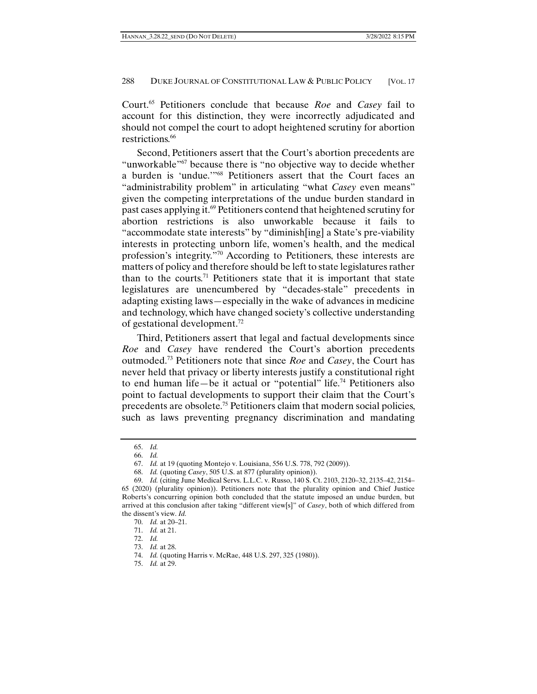Court.65 Petitioners conclude that because *Roe* and *Casey* fail to account for this distinction, they were incorrectly adjudicated and should not compel the court to adopt heightened scrutiny for abortion restrictions.<sup>66</sup>

Second, Petitioners assert that the Court's abortion precedents are "unworkable"<sup>67</sup> because there is "no objective way to decide whether a burden is 'undue.'"68 Petitioners assert that the Court faces an "administrability problem" in articulating "what *Casey* even means" given the competing interpretations of the undue burden standard in past cases applying it.69 Petitioners contend that heightened scrutiny for abortion restrictions is also unworkable because it fails to "accommodate state interests" by "diminish[ing] a State's pre-viability interests in protecting unborn life, women's health, and the medical profession's integrity."70 According to Petitioners, these interests are matters of policy and therefore should be left to state legislatures rather than to the courts.<sup>71</sup> Petitioners state that it is important that state legislatures are unencumbered by "decades-stale" precedents in adapting existing laws—especially in the wake of advances in medicine and technology, which have changed society's collective understanding of gestational development.72

Third, Petitioners assert that legal and factual developments since *Roe* and *Casey* have rendered the Court's abortion precedents outmoded.73 Petitioners note that since *Roe* and *Casey*, the Court has never held that privacy or liberty interests justify a constitutional right to end human life—be it actual or "potential" life.74 Petitioners also point to factual developments to support their claim that the Court's precedents are obsolete.75 Petitioners claim that modern social policies, such as laws preventing pregnancy discrimination and mandating

 <sup>65.</sup> *Id.*

 <sup>66.</sup> *Id.*

 <sup>67.</sup> *Id.* at 19 (quoting Montejo v. Louisiana, 556 U.S. 778, 792 (2009)).

 <sup>68.</sup> *Id.* (quoting *Casey*, 505 U.S. at 877 (plurality opinion)).

 <sup>69.</sup> *Id.* (citing June Medical Servs. L.L.C. v. Russo, 140 S. Ct. 2103, 2120–32, 2135–42, 2154–

<sup>65 (2020) (</sup>plurality opinion)). Petitioners note that the plurality opinion and Chief Justice Roberts's concurring opinion both concluded that the statute imposed an undue burden, but arrived at this conclusion after taking "different view[s]" of *Casey*, both of which differed from the dissent's view. *Id.*

 <sup>70.</sup> *Id.* at 20–21.

 <sup>71.</sup> *Id.* at 21.

 <sup>72.</sup> *Id.*

 <sup>73.</sup> *Id.* at 28.

 <sup>74.</sup> *Id.* (quoting Harris v. McRae, 448 U.S. 297, 325 (1980)).

 <sup>75.</sup> *Id.* at 29.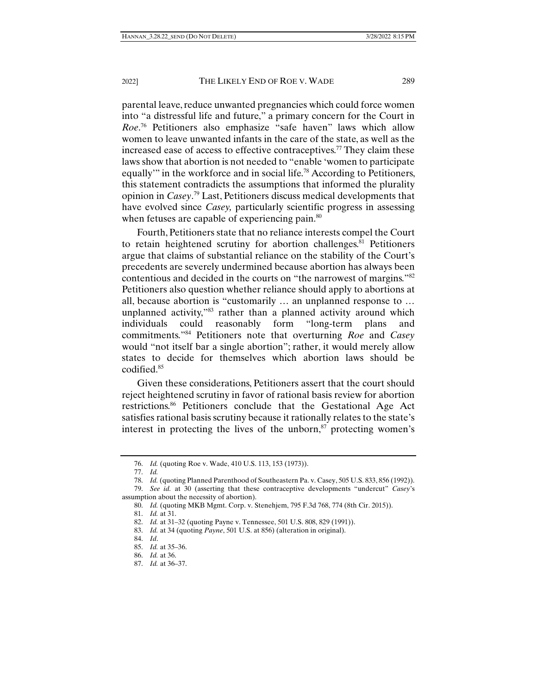parental leave, reduce unwanted pregnancies which could force women into "a distressful life and future," a primary concern for the Court in *Roe*. 76 Petitioners also emphasize "safe haven" laws which allow women to leave unwanted infants in the care of the state, as well as the increased ease of access to effective contraceptives.<sup>77</sup> They claim these laws show that abortion is not needed to "enable 'women to participate equally'" in the workforce and in social life.<sup>78</sup> According to Petitioners, this statement contradicts the assumptions that informed the plurality opinion in *Casey*. 79 Last, Petitioners discuss medical developments that have evolved since *Casey,* particularly scientific progress in assessing when fetuses are capable of experiencing pain.<sup>80</sup>

Fourth, Petitioners state that no reliance interests compel the Court to retain heightened scrutiny for abortion challenges.<sup>81</sup> Petitioners argue that claims of substantial reliance on the stability of the Court's precedents are severely undermined because abortion has always been contentious and decided in the courts on "the narrowest of margins."82 Petitioners also question whether reliance should apply to abortions at all, because abortion is "customarily … an unplanned response to … unplanned activity,"83 rather than a planned activity around which individuals could reasonably form "long-term plans and commitments."84 Petitioners note that overturning *Roe* and *Casey* would "not itself bar a single abortion"; rather, it would merely allow states to decide for themselves which abortion laws should be codified.85

Given these considerations, Petitioners assert that the court should reject heightened scrutiny in favor of rational basis review for abortion restrictions.<sup>86</sup> Petitioners conclude that the Gestational Age Act satisfies rational basis scrutiny because it rationally relates to the state's interest in protecting the lives of the unborn, $\delta$ <sup>7</sup> protecting women's

 <sup>76.</sup> *Id.* (quoting Roe v. Wade, 410 U.S. 113, 153 (1973)).

 <sup>77.</sup> *Id.*

 <sup>78.</sup> *Id.* (quoting Planned Parenthood of Southeastern Pa. v. Casey, 505 U.S. 833, 856 (1992)).

 <sup>79.</sup> *See id.* at 30 (asserting that these contraceptive developments "undercut" *Casey*'s assumption about the necessity of abortion).

 <sup>80.</sup> *Id.* (quoting MKB Mgmt. Corp. v. Stenehjem, 795 F.3d 768, 774 (8th Cir. 2015)).

 <sup>81.</sup> *Id.* at 31.

 <sup>82.</sup> *Id.* at 31–32 (quoting Payne v. Tennessee, 501 U.S. 808, 829 (1991)).

 <sup>83.</sup> *Id.* at 34 (quoting *Payne*, 501 U.S. at 856) (alteration in original).

 <sup>84.</sup> *Id*.

 <sup>85.</sup> *Id.* at 35–36.

 <sup>86.</sup> *Id.* at 36.

 <sup>87.</sup> *Id.* at 36–37.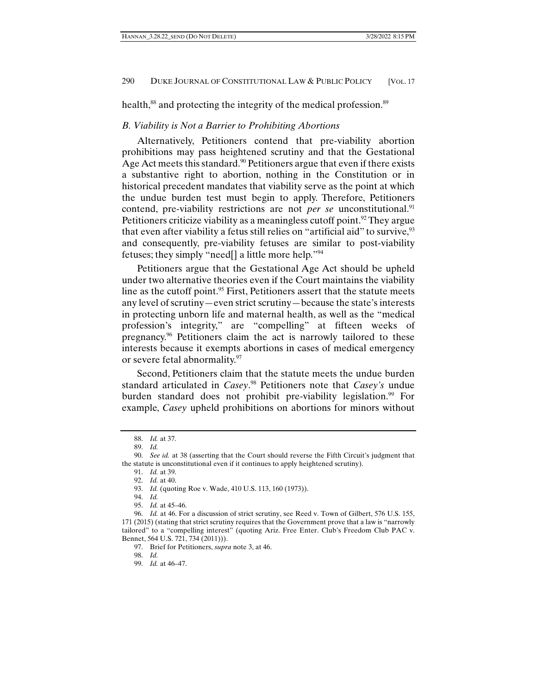health,<sup>88</sup> and protecting the integrity of the medical profession.<sup>89</sup>

#### *B. Viability is Not a Barrier to Prohibiting Abortions*

Alternatively, Petitioners contend that pre-viability abortion prohibitions may pass heightened scrutiny and that the Gestational Age Act meets this standard.<sup>90</sup> Petitioners argue that even if there exists a substantive right to abortion, nothing in the Constitution or in historical precedent mandates that viability serve as the point at which the undue burden test must begin to apply. Therefore, Petitioners contend, pre-viability restrictions are not *per se* unconstitutional.<sup>91</sup> Petitioners criticize viability as a meaningless cutoff point.<sup>92</sup> They argue that even after viability a fetus still relies on "artificial aid" to survive,  $93$ and consequently, pre-viability fetuses are similar to post-viability fetuses; they simply "need[] a little more help."94

Petitioners argue that the Gestational Age Act should be upheld under two alternative theories even if the Court maintains the viability line as the cutoff point.<sup>95</sup> First, Petitioners assert that the statute meets any level of scrutiny—even strict scrutiny—because the state's interests in protecting unborn life and maternal health, as well as the "medical profession's integrity," are "compelling" at fifteen weeks of pregnancy.96 Petitioners claim the act is narrowly tailored to these interests because it exempts abortions in cases of medical emergency or severe fetal abnormality.<sup>97</sup>

Second, Petitioners claim that the statute meets the undue burden standard articulated in *Casey*. 98 Petitioners note that *Casey's* undue burden standard does not prohibit pre-viability legislation.<sup>99</sup> For example, *Casey* upheld prohibitions on abortions for minors without

 <sup>88.</sup> *Id.* at 37.

 <sup>89.</sup> *Id.*

 <sup>90.</sup> *See id.* at 38 (asserting that the Court should reverse the Fifth Circuit's judgment that the statute is unconstitutional even if it continues to apply heightened scrutiny).

 <sup>91.</sup> *Id.* at 39.

 <sup>92.</sup> *Id.* at 40.

 <sup>93.</sup> *Id.* (quoting Roe v. Wade, 410 U.S. 113, 160 (1973)).

 <sup>94.</sup> *Id.*

 <sup>95.</sup> *Id.* at 45–46.

 <sup>96.</sup> *Id.* at 46. For a discussion of strict scrutiny, see Reed v. Town of Gilbert, 576 U.S. 155, 171 (2015) (stating that strict scrutiny requires that the Government prove that a law is "narrowly tailored" to a "compelling interest" (quoting Ariz. Free Enter. Club's Freedom Club PAC v. Bennet, 564 U.S. 721, 734 (2011))).

 <sup>97.</sup> Brief for Petitioners, *supra* note 3, at 46.

 <sup>98.</sup> *Id.* 

 <sup>99.</sup> *Id.* at 46–47.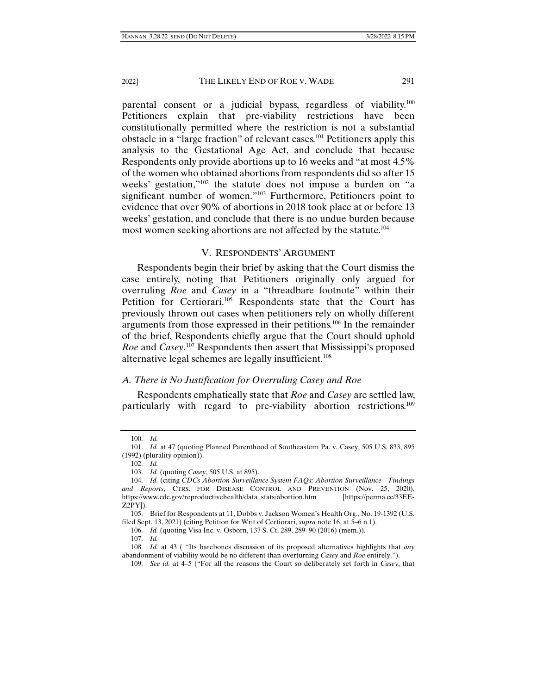parental consent or a judicial bypass, regardless of viability.<sup>100</sup> Petitioners explain that pre-viability restrictions have been constitutionally permitted where the restriction is not a substantial obstacle in a "large fraction" of relevant cases.101 Petitioners apply this analysis to the Gestational Age Act, and conclude that because Respondents only provide abortions up to 16 weeks and "at most 4.5% of the women who obtained abortions from respondents did so after 15 weeks' gestation,"102 the statute does not impose a burden on "a significant number of women."103 Furthermore, Petitioners point to evidence that over 90% of abortions in 2018 took place at or before 13 weeks' gestation, and conclude that there is no undue burden because most women seeking abortions are not affected by the statute.<sup>104</sup>

#### V. RESPONDENTS' ARGUMENT

Respondents begin their brief by asking that the Court dismiss the case entirely, noting that Petitioners originally only argued for overruling *Roe* and *Casey* in a "threadbare footnote" within their Petition for Certiorari.<sup>105</sup> Respondents state that the Court has previously thrown out cases when petitioners rely on wholly different arguments from those expressed in their petitions.106 In the remainder of the brief, Respondents chiefly argue that the Court should uphold *Roe* and *Casey*. 107 Respondents then assert that Mississippi's proposed alternative legal schemes are legally insufficient.<sup>108</sup>

#### *A. There is No Justification for Overruling Casey and Roe*

Respondents emphatically state that *Roe* and *Casey* are settled law, particularly with regard to pre-viability abortion restrictions.109

 <sup>100.</sup> *Id.*

 <sup>101.</sup> *Id.* at 47 (quoting Planned Parenthood of Southeastern Pa. v. Casey, 505 U.S. 833, 895 (1992) (plurality opinion)).

 <sup>102.</sup> *Id.*

 <sup>103.</sup> *Id.* (quoting *Casey*, 505 U.S. at 895).

 <sup>104.</sup> *Id.* (citing *CDCs Abortion Surveillance System FAQs: Abortion Surveillance—Findings and Reports*, CTRS. FOR DISEASE CONTROL AND PREVENTION (Nov. 25, 2020), https://www.cdc.gov/reproductivehealth/data\_stats/abortion.htm [https://perma.cc/33EE-Z2PY]).

 <sup>105.</sup> Brief for Respondents at 11, Dobbs v. Jackson Women's Health Org., No. 19-1392 (U.S. filed Sept. 13, 2021) (citing Petition for Writ of Certiorari, *supra* note 16, at 5–6 n.1).

 <sup>106.</sup> *Id.* (quoting Visa Inc. v. Osborn, 137 S. Ct. 289, 289–90 (2016) (mem.)).

 <sup>107.</sup> *Id.*

 <sup>108.</sup> *Id.* at 43 ( "Its barebones discussion of its proposed alternatives highlights that *any*  abandonment of viability would be no different than overturning *Casey* and *Roe* entirely.").

 <sup>109.</sup> *See id.* at 4–5 ("For all the reasons the Court so deliberately set forth in *Casey*, that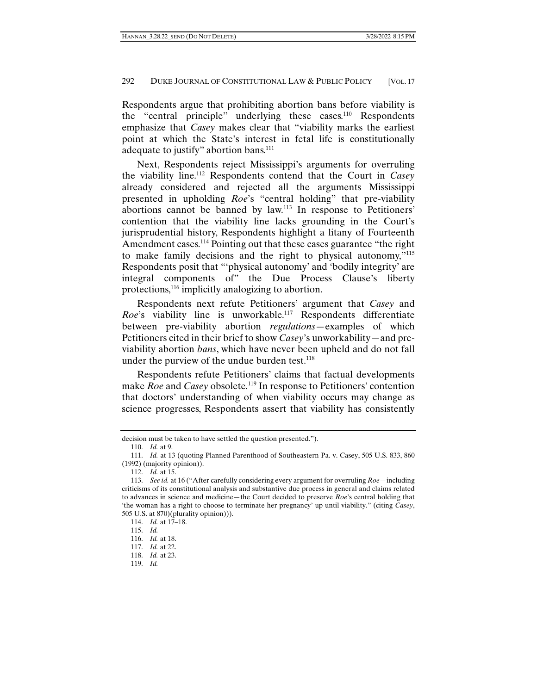Respondents argue that prohibiting abortion bans before viability is the "central principle" underlying these cases.<sup>110</sup> Respondents emphasize that *Casey* makes clear that "viability marks the earliest point at which the State's interest in fetal life is constitutionally adequate to justify" abortion bans.<sup>111</sup>

Next, Respondents reject Mississippi's arguments for overruling the viability line.112 Respondents contend that the Court in *Casey* already considered and rejected all the arguments Mississippi presented in upholding *Roe*'s "central holding" that pre-viability abortions cannot be banned by law.113 In response to Petitioners' contention that the viability line lacks grounding in the Court's jurisprudential history, Respondents highlight a litany of Fourteenth Amendment cases.<sup>114</sup> Pointing out that these cases guarantee "the right to make family decisions and the right to physical autonomy,"115 Respondents posit that "'physical autonomy' and 'bodily integrity' are integral components of" the Due Process Clause's liberty protections,<sup>116</sup> implicitly analogizing to abortion.

Respondents next refute Petitioners' argument that *Casey* and *Roe*'s viability line is unworkable.117 Respondents differentiate between pre-viability abortion *regulations*—examples of which Petitioners cited in their brief to show *Casey*'s unworkability—and previability abortion *bans*, which have never been upheld and do not fall under the purview of the undue burden test. $118$ 

Respondents refute Petitioners' claims that factual developments make *Roe* and *Casey* obsolete.<sup>119</sup> In response to Petitioners' contention that doctors' understanding of when viability occurs may change as science progresses, Respondents assert that viability has consistently

decision must be taken to have settled the question presented.").

 <sup>110.</sup> *Id.* at 9.

 <sup>111.</sup> *Id.* at 13 (quoting Planned Parenthood of Southeastern Pa. v. Casey, 505 U.S. 833, 860 (1992) (majority opinion)).

 <sup>112.</sup> *Id.* at 15.

 <sup>113.</sup> *See id.* at 16 ("After carefully considering every argument for overruling *Roe*—including criticisms of its constitutional analysis and substantive due process in general and claims related to advances in science and medicine—the Court decided to preserve *Roe*'s central holding that 'the woman has a right to choose to terminate her pregnancy' up until viability." (citing *Casey*, 505 U.S. at 870)(plurality opinion))).

 <sup>114.</sup> *Id.* at 17–18.

 <sup>115.</sup> *Id.*

 <sup>116.</sup> *Id.* at 18.

 <sup>117.</sup> *Id.* at 22.

 <sup>118.</sup> *Id.* at 23.

 <sup>119.</sup> *Id.*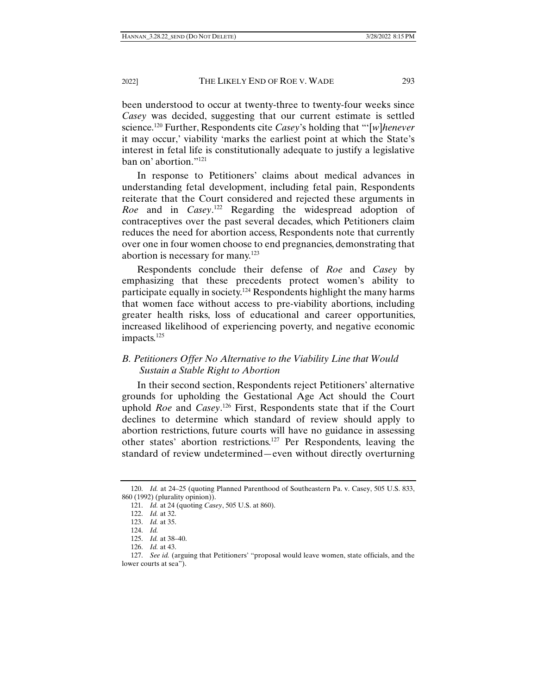been understood to occur at twenty-three to twenty-four weeks since *Casey* was decided, suggesting that our current estimate is settled science.120 Further, Respondents cite *Casey*'s holding that "'[*w*]*henever* it may occur,' viability 'marks the earliest point at which the State's interest in fetal life is constitutionally adequate to justify a legislative ban on' abortion."121

In response to Petitioners' claims about medical advances in understanding fetal development, including fetal pain, Respondents reiterate that the Court considered and rejected these arguments in *Roe* and in *Casey*. 122 Regarding the widespread adoption of contraceptives over the past several decades, which Petitioners claim reduces the need for abortion access, Respondents note that currently over one in four women choose to end pregnancies, demonstrating that abortion is necessary for many.123

Respondents conclude their defense of *Roe* and *Casey* by emphasizing that these precedents protect women's ability to participate equally in society.<sup>124</sup> Respondents highlight the many harms that women face without access to pre-viability abortions, including greater health risks, loss of educational and career opportunities, increased likelihood of experiencing poverty, and negative economic impacts.<sup>125</sup>

# *B. Petitioners Offer No Alternative to the Viability Line that Would Sustain a Stable Right to Abortion*

In their second section, Respondents reject Petitioners' alternative grounds for upholding the Gestational Age Act should the Court uphold *Roe* and *Casey*. 126 First, Respondents state that if the Court declines to determine which standard of review should apply to abortion restrictions, future courts will have no guidance in assessing other states' abortion restrictions.127 Per Respondents, leaving the standard of review undetermined—even without directly overturning

 <sup>120.</sup> *Id.* at 24–25 (quoting Planned Parenthood of Southeastern Pa. v. Casey, 505 U.S. 833, 860 (1992) (plurality opinion)).

 <sup>121.</sup> *Id.* at 24 (quoting *Casey*, 505 U.S. at 860).

 <sup>122.</sup> *Id.* at 32.

 <sup>123.</sup> *Id.* at 35.

 <sup>124.</sup> *Id.*

 <sup>125.</sup> *Id.* at 38–40.

 <sup>126.</sup> *Id.* at 43.

 <sup>127.</sup> *See id.* (arguing that Petitioners' "proposal would leave women, state officials, and the lower courts at sea").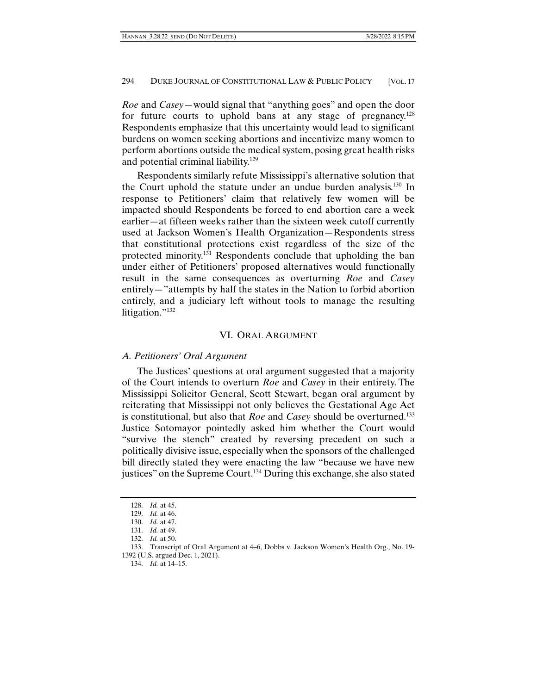*Roe* and *Casey*—would signal that "anything goes" and open the door for future courts to uphold bans at any stage of pregnancy.<sup>128</sup> Respondents emphasize that this uncertainty would lead to significant burdens on women seeking abortions and incentivize many women to perform abortions outside the medical system, posing great health risks and potential criminal liability.<sup>129</sup>

Respondents similarly refute Mississippi's alternative solution that the Court uphold the statute under an undue burden analysis.<sup>130</sup> In response to Petitioners' claim that relatively few women will be impacted should Respondents be forced to end abortion care a week earlier—at fifteen weeks rather than the sixteen week cutoff currently used at Jackson Women's Health Organization—Respondents stress that constitutional protections exist regardless of the size of the protected minority.131 Respondents conclude that upholding the ban under either of Petitioners' proposed alternatives would functionally result in the same consequences as overturning *Roe* and *Casey* entirely—"attempts by half the states in the Nation to forbid abortion entirely, and a judiciary left without tools to manage the resulting litigation."<sup>132</sup>

## VI. ORAL ARGUMENT

## *A. Petitioners' Oral Argument*

The Justices' questions at oral argument suggested that a majority of the Court intends to overturn *Roe* and *Casey* in their entirety. The Mississippi Solicitor General, Scott Stewart, began oral argument by reiterating that Mississippi not only believes the Gestational Age Act is constitutional, but also that *Roe* and *Casey* should be overturned.133 Justice Sotomayor pointedly asked him whether the Court would "survive the stench" created by reversing precedent on such a politically divisive issue, especially when the sponsors of the challenged bill directly stated they were enacting the law "because we have new justices" on the Supreme Court.<sup>134</sup> During this exchange, she also stated

 <sup>128.</sup> *Id.* at 45.

 <sup>129.</sup> *Id.* at 46.

 <sup>130.</sup> *Id.* at 47.

 <sup>131.</sup> *Id.* at 49.

 <sup>132.</sup> *Id.* at 50.

 <sup>133.</sup> Transcript of Oral Argument at 4–6, Dobbs v. Jackson Women's Health Org., No. 19- 1392 (U.S. argued Dec. 1, 2021).

 <sup>134.</sup> *Id.* at 14–15.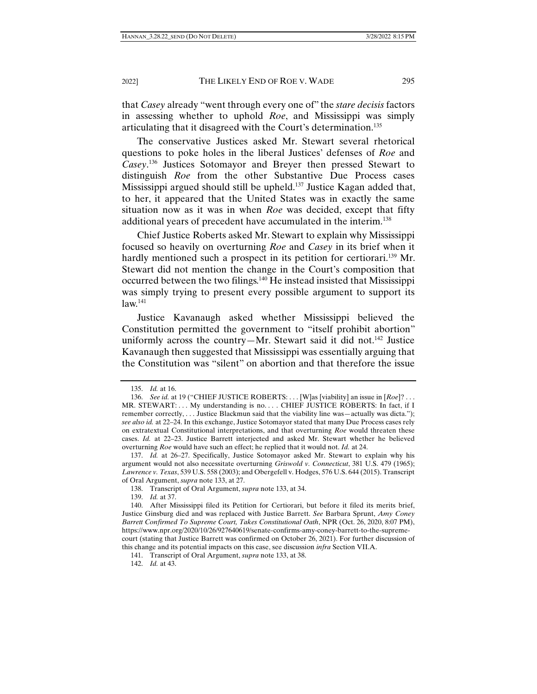that *Casey* already "went through every one of" the *stare decisis* factors in assessing whether to uphold *Roe*, and Mississippi was simply articulating that it disagreed with the Court's determination.135

The conservative Justices asked Mr. Stewart several rhetorical questions to poke holes in the liberal Justices' defenses of *Roe* and *Casey*. 136 Justices Sotomayor and Breyer then pressed Stewart to distinguish *Roe* from the other Substantive Due Process cases Mississippi argued should still be upheld.<sup>137</sup> Justice Kagan added that, to her, it appeared that the United States was in exactly the same situation now as it was in when *Roe* was decided, except that fifty additional years of precedent have accumulated in the interim.<sup>138</sup>

Chief Justice Roberts asked Mr. Stewart to explain why Mississippi focused so heavily on overturning *Roe* and *Casey* in its brief when it hardly mentioned such a prospect in its petition for certiorari.<sup>139</sup> Mr. Stewart did not mention the change in the Court's composition that occurred between the two filings.140 He instead insisted that Mississippi was simply trying to present every possible argument to support its  $law.<sup>141</sup>$ 

Justice Kavanaugh asked whether Mississippi believed the Constitution permitted the government to "itself prohibit abortion" uniformly across the country—Mr. Stewart said it did not.<sup>142</sup> Justice Kavanaugh then suggested that Mississippi was essentially arguing that the Constitution was "silent" on abortion and that therefore the issue

 <sup>135.</sup> *Id.* at 16.

 <sup>136.</sup> *See id.* at 19 ("CHIEF JUSTICE ROBERTS: . . . [W]as [viability] an issue in [*Roe*]? . . . MR. STEWART:... My understanding is no.... CHIEF JUSTICE ROBERTS: In fact, if I remember correctly, . . . Justice Blackmun said that the viability line was—actually was dicta."); *see also id.* at 22–24. In this exchange, Justice Sotomayor stated that many Due Process cases rely on extratextual Constitutional interpretations, and that overturning *Roe* would threaten these cases. *Id.* at 22–23. Justice Barrett interjected and asked Mr. Stewart whether he believed overturning *Roe* would have such an effect; he replied that it would not. *Id.* at 24.

 <sup>137.</sup> *Id.* at 26–27. Specifically, Justice Sotomayor asked Mr. Stewart to explain why his argument would not also necessitate overturning *Griswold v. Connecticut*, 381 U.S. 479 (1965); *Lawrence v. Texas*, 539 U.S. 558 (2003); and Obergefell v. Hodges, 576 U.S. 644 (2015). Transcript of Oral Argument, *supra* note 133, at 27.

 <sup>138.</sup> Transcript of Oral Argument, *supra* note 133, at 34.

 <sup>139.</sup> *Id.* at 37.

 <sup>140.</sup> After Mississippi filed its Petition for Certiorari, but before it filed its merits brief, Justice Ginsburg died and was replaced with Justice Barrett. *See* Barbara Sprunt, *Amy Coney Barrett Confirmed To Supreme Court, Takes Constitutional Oath*, NPR (Oct. 26, 2020, 8:07 PM), https://www.npr.org/2020/10/26/927640619/senate-confirms-amy-coney-barrett-to-the-supremecourt (stating that Justice Barrett was confirmed on October 26, 2021). For further discussion of this change and its potential impacts on this case, see discussion *infra* Section VII.A.

 <sup>141.</sup> Transcript of Oral Argument, *supra* note 133, at 38.

 <sup>142.</sup> *Id.* at 43.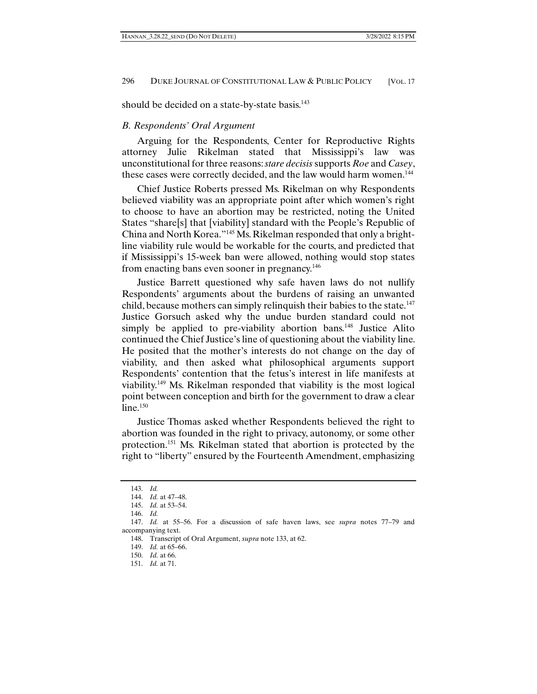should be decided on a state-by-state basis.<sup>143</sup>

## *B. Respondents' Oral Argument*

Arguing for the Respondents, Center for Reproductive Rights attorney Julie Rikelman stated that Mississippi's law was unconstitutional for three reasons: *stare decisis* supports *Roe* and *Casey*, these cases were correctly decided, and the law would harm women.<sup>144</sup>

Chief Justice Roberts pressed Ms. Rikelman on why Respondents believed viability was an appropriate point after which women's right to choose to have an abortion may be restricted, noting the United States "share[s] that [viability] standard with the People's Republic of China and North Korea."145 Ms. Rikelman responded that only a brightline viability rule would be workable for the courts, and predicted that if Mississippi's 15-week ban were allowed, nothing would stop states from enacting bans even sooner in pregnancy.<sup>146</sup>

Justice Barrett questioned why safe haven laws do not nullify Respondents' arguments about the burdens of raising an unwanted child, because mothers can simply relinquish their babies to the state.<sup>147</sup> Justice Gorsuch asked why the undue burden standard could not simply be applied to pre-viability abortion bans.<sup>148</sup> Justice Alito continued the Chief Justice's line of questioning about the viability line. He posited that the mother's interests do not change on the day of viability, and then asked what philosophical arguments support Respondents' contention that the fetus's interest in life manifests at viability.149 Ms. Rikelman responded that viability is the most logical point between conception and birth for the government to draw a clear  $line<sup>.150</sup>$ 

Justice Thomas asked whether Respondents believed the right to abortion was founded in the right to privacy, autonomy, or some other protection.151 Ms. Rikelman stated that abortion is protected by the right to "liberty" ensured by the Fourteenth Amendment, emphasizing

 <sup>143.</sup> *Id.*

 <sup>144.</sup> *Id.* at 47–48.

 <sup>145.</sup> *Id.* at 53–54.

 <sup>146.</sup> *Id.*

 <sup>147.</sup> *Id.* at 55–56. For a discussion of safe haven laws, see *supra* notes 77–79 and accompanying text.

 <sup>148.</sup> Transcript of Oral Argument, *supra* note 133, at 62.

 <sup>149.</sup> *Id.* at 65–66.

 <sup>150.</sup> *Id.* at 66.

 <sup>151.</sup> *Id.* at 71.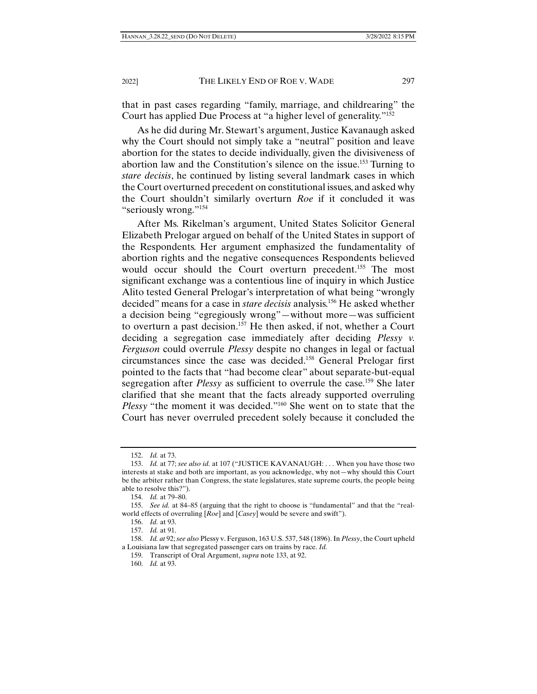that in past cases regarding "family, marriage, and childrearing" the Court has applied Due Process at "a higher level of generality."152

As he did during Mr. Stewart's argument, Justice Kavanaugh asked why the Court should not simply take a "neutral" position and leave abortion for the states to decide individually, given the divisiveness of abortion law and the Constitution's silence on the issue.153 Turning to *stare decisis*, he continued by listing several landmark cases in which the Court overturned precedent on constitutional issues, and asked why the Court shouldn't similarly overturn *Roe* if it concluded it was "seriously wrong."154

After Ms. Rikelman's argument, United States Solicitor General Elizabeth Prelogar argued on behalf of the United States in support of the Respondents. Her argument emphasized the fundamentality of abortion rights and the negative consequences Respondents believed would occur should the Court overturn precedent.<sup>155</sup> The most significant exchange was a contentious line of inquiry in which Justice Alito tested General Prelogar's interpretation of what being "wrongly decided" means for a case in *stare decisis* analysis.156 He asked whether a decision being "egregiously wrong"—without more—was sufficient to overturn a past decision.<sup>157</sup> He then asked, if not, whether a Court deciding a segregation case immediately after deciding *Plessy v. Ferguson* could overrule *Plessy* despite no changes in legal or factual circumstances since the case was decided.158 General Prelogar first pointed to the facts that "had become clear" about separate-but-equal segregation after *Plessy* as sufficient to overrule the case.159 She later clarified that she meant that the facts already supported overruling *Plessy* "the moment it was decided."<sup>160</sup> She went on to state that the Court has never overruled precedent solely because it concluded the

156. *Id.* at 93.

157. *Id.* at 91.

 <sup>152.</sup> *Id.* at 73.

 <sup>153.</sup> *Id.* at 77; *see also id.* at 107 ("JUSTICE KAVANAUGH: . . . When you have those two interests at stake and both are important, as you acknowledge, why not—why should this Court be the arbiter rather than Congress, the state legislatures, state supreme courts, the people being able to resolve this?").

 <sup>154.</sup> *Id.* at 79–80.

 <sup>155.</sup> *See id.* at 84–85 (arguing that the right to choose is "fundamental" and that the "realworld effects of overruling [*Roe*] and [*Casey*] would be severe and swift").

 <sup>158.</sup> *Id. at* 92; *see also* Plessy v. Ferguson, 163 U.S. 537, 548 (1896). In *Plessy*, the Court upheld a Louisiana law that segregated passenger cars on trains by race. *Id.*

 <sup>159.</sup> Transcript of Oral Argument, *supra* note 133, at 92.

 <sup>160.</sup> *Id.* at 93.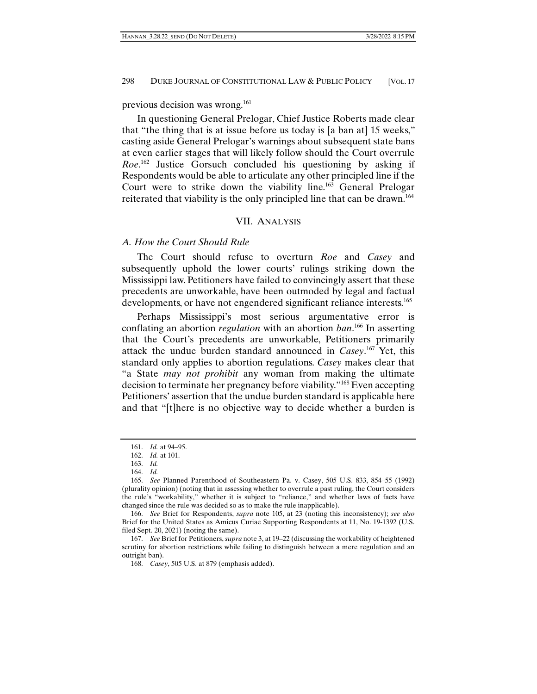previous decision was wrong.161

In questioning General Prelogar, Chief Justice Roberts made clear that "the thing that is at issue before us today is [a ban at] 15 weeks," casting aside General Prelogar's warnings about subsequent state bans at even earlier stages that will likely follow should the Court overrule *Roe*. 162 Justice Gorsuch concluded his questioning by asking if Respondents would be able to articulate any other principled line if the Court were to strike down the viability line.163 General Prelogar reiterated that viability is the only principled line that can be drawn.164

#### VII. ANALYSIS

## *A. How the Court Should Rule*

The Court should refuse to overturn *Roe* and *Casey* and subsequently uphold the lower courts' rulings striking down the Mississippi law. Petitioners have failed to convincingly assert that these precedents are unworkable, have been outmoded by legal and factual developments, or have not engendered significant reliance interests.<sup>165</sup>

Perhaps Mississippi's most serious argumentative error is conflating an abortion *regulation* with an abortion *ban*. 166 In asserting that the Court's precedents are unworkable, Petitioners primarily attack the undue burden standard announced in *Casey*. 167 Yet, this standard only applies to abortion regulations. *Casey* makes clear that "a State *may not prohibit* any woman from making the ultimate decision to terminate her pregnancy before viability."168 Even accepting Petitioners' assertion that the undue burden standard is applicable here and that "[t]here is no objective way to decide whether a burden is

 <sup>161.</sup> *Id.* at 94–95.

 <sup>162.</sup> *Id.* at 101.

 <sup>163.</sup> *Id.*

 <sup>164.</sup> *Id.*

 <sup>165.</sup> *See* Planned Parenthood of Southeastern Pa. v. Casey, 505 U.S. 833, 854–55 (1992) (plurality opinion) (noting that in assessing whether to overrule a past ruling, the Court considers the rule's "workability," whether it is subject to "reliance," and whether laws of facts have changed since the rule was decided so as to make the rule inapplicable).

 <sup>166.</sup> *See* Brief for Respondents, *supra* note 105, at 23 (noting this inconsistency); *see also*  Brief for the United States as Amicus Curiae Supporting Respondents at 11, No. 19-1392 (U.S. filed Sept. 20, 2021) (noting the same).

 <sup>167.</sup> *See* Brief for Petitioners, *supra* note 3, at 19–22 (discussing the workability of heightened scrutiny for abortion restrictions while failing to distinguish between a mere regulation and an outright ban).

 <sup>168.</sup> *Casey*, 505 U.S. at 879 (emphasis added).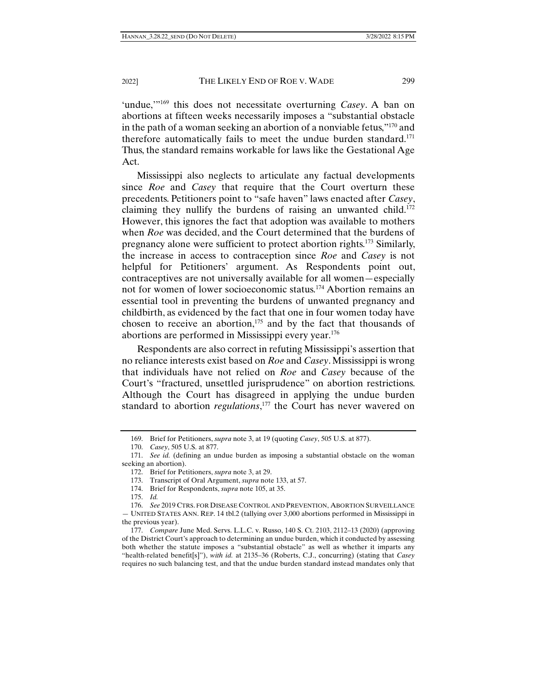'undue,'"169 this does not necessitate overturning *Casey*. A ban on abortions at fifteen weeks necessarily imposes a "substantial obstacle in the path of a woman seeking an abortion of a nonviable fetus,"170 and therefore automatically fails to meet the undue burden standard.171 Thus, the standard remains workable for laws like the Gestational Age Act.

Mississippi also neglects to articulate any factual developments since *Roe* and *Casey* that require that the Court overturn these precedents. Petitioners point to "safe haven" laws enacted after *Casey*, claiming they nullify the burdens of raising an unwanted child.172 However, this ignores the fact that adoption was available to mothers when *Roe* was decided, and the Court determined that the burdens of pregnancy alone were sufficient to protect abortion rights.173 Similarly, the increase in access to contraception since *Roe* and *Casey* is not helpful for Petitioners' argument. As Respondents point out, contraceptives are not universally available for all women—especially not for women of lower socioeconomic status.174 Abortion remains an essential tool in preventing the burdens of unwanted pregnancy and childbirth, as evidenced by the fact that one in four women today have chosen to receive an abortion, $175$  and by the fact that thousands of abortions are performed in Mississippi every year.176

Respondents are also correct in refuting Mississippi's assertion that no reliance interests exist based on *Roe* and *Casey*. Mississippi is wrong that individuals have not relied on *Roe* and *Casey* because of the Court's "fractured, unsettled jurisprudence" on abortion restrictions. Although the Court has disagreed in applying the undue burden standard to abortion *regulations*, 177 the Court has never wavered on

 <sup>169.</sup> Brief for Petitioners, *supra* note 3, at 19 (quoting *Casey*, 505 U.S. at 877).

 <sup>170.</sup> *Casey*, 505 U.S. at 877.

 <sup>171.</sup> *See id.* (defining an undue burden as imposing a substantial obstacle on the woman seeking an abortion).

 <sup>172.</sup> Brief for Petitioners, *supra* note 3, at 29.

 <sup>173.</sup> Transcript of Oral Argument, *supra* note 133, at 57.

 <sup>174.</sup> Brief for Respondents, *supra* note 105, at 35.

 <sup>175.</sup> *Id.*

 <sup>176.</sup> *See* 2019 CTRS. FOR DISEASE CONTROL AND PREVENTION, ABORTION SURVEILLANCE — UNITED STATES ANN. REP. 14 tbl.2 (tallying over 3,000 abortions performed in Mississippi in the previous year).

 <sup>177.</sup> *Compare* June Med. Servs. L.L.C. v. Russo, 140 S. Ct. 2103, 2112–13 (2020) (approving of the District Court's approach to determining an undue burden, which it conducted by assessing both whether the statute imposes a "substantial obstacle" as well as whether it imparts any "health-related benefit[s]"), *with id.* at 2135–36 (Roberts, C.J., concurring) (stating that *Casey* requires no such balancing test, and that the undue burden standard instead mandates only that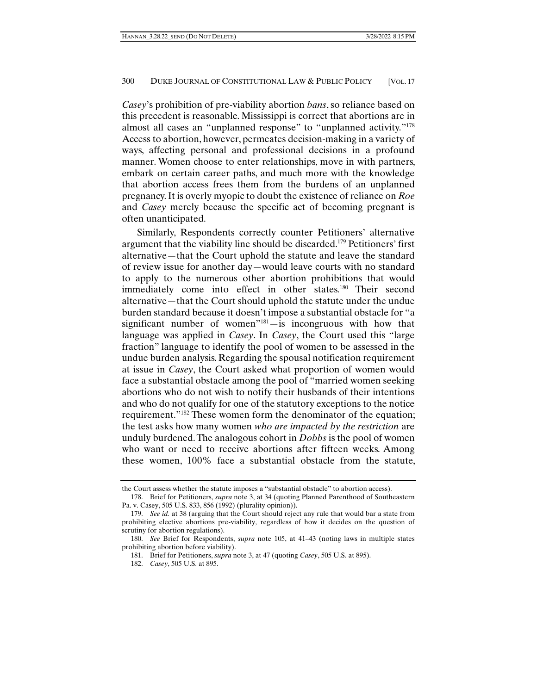*Casey*'s prohibition of pre-viability abortion *bans*, so reliance based on this precedent is reasonable. Mississippi is correct that abortions are in almost all cases an "unplanned response" to "unplanned activity."178 Access to abortion, however, permeates decision-making in a variety of ways, affecting personal and professional decisions in a profound manner. Women choose to enter relationships, move in with partners, embark on certain career paths, and much more with the knowledge that abortion access frees them from the burdens of an unplanned pregnancy. It is overly myopic to doubt the existence of reliance on *Roe*  and *Casey* merely because the specific act of becoming pregnant is often unanticipated.

Similarly, Respondents correctly counter Petitioners' alternative argument that the viability line should be discarded.179 Petitioners' first alternative—that the Court uphold the statute and leave the standard of review issue for another day—would leave courts with no standard to apply to the numerous other abortion prohibitions that would immediately come into effect in other states.<sup>180</sup> Their second alternative—that the Court should uphold the statute under the undue burden standard because it doesn't impose a substantial obstacle for "a significant number of women"181—is incongruous with how that language was applied in *Casey*. In *Casey*, the Court used this "large fraction" language to identify the pool of women to be assessed in the undue burden analysis. Regarding the spousal notification requirement at issue in *Casey*, the Court asked what proportion of women would face a substantial obstacle among the pool of "married women seeking abortions who do not wish to notify their husbands of their intentions and who do not qualify for one of the statutory exceptions to the notice requirement."182 These women form the denominator of the equation; the test asks how many women *who are impacted by the restriction* are unduly burdened. The analogous cohort in *Dobbs* is the pool of women who want or need to receive abortions after fifteen weeks. Among these women, 100% face a substantial obstacle from the statute,

the Court assess whether the statute imposes a "substantial obstacle" to abortion access).

 <sup>178.</sup> Brief for Petitioners, *supra* note 3, at 34 (quoting Planned Parenthood of Southeastern Pa. v. Casey, 505 U.S. 833, 856 (1992) (plurality opinion)).

 <sup>179.</sup> *See id.* at 38 (arguing that the Court should reject any rule that would bar a state from prohibiting elective abortions pre-viability, regardless of how it decides on the question of scrutiny for abortion regulations).

 <sup>180.</sup> *See* Brief for Respondents, *supra* note 105, at 41–43 (noting laws in multiple states prohibiting abortion before viability).

 <sup>181.</sup> Brief for Petitioners, *supra* note 3, at 47 (quoting *Casey*, 505 U.S. at 895).

 <sup>182.</sup> *Casey*, 505 U.S. at 895.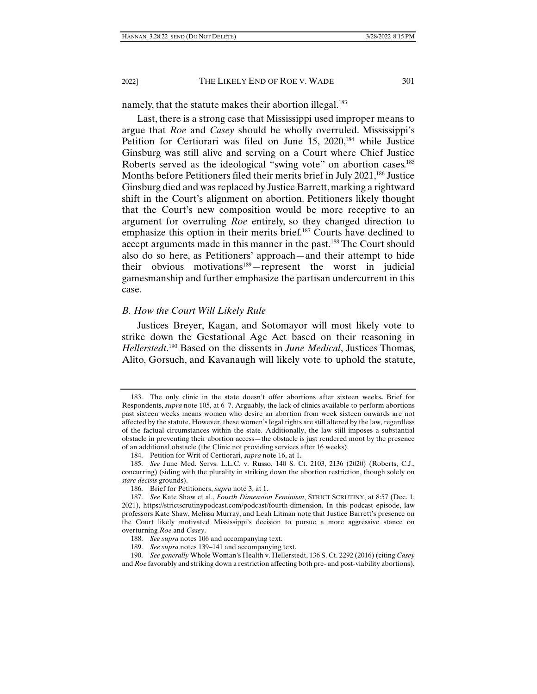namely, that the statute makes their abortion illegal.<sup>183</sup>

Last, there is a strong case that Mississippi used improper means to argue that *Roe* and *Casey* should be wholly overruled. Mississippi's Petition for Certiorari was filed on June 15, 2020,<sup>184</sup> while Justice Ginsburg was still alive and serving on a Court where Chief Justice Roberts served as the ideological "swing vote" on abortion cases.<sup>185</sup> Months before Petitioners filed their merits brief in July 2021,<sup>186</sup> Justice Ginsburg died and was replaced by Justice Barrett, marking a rightward shift in the Court's alignment on abortion. Petitioners likely thought that the Court's new composition would be more receptive to an argument for overruling *Roe* entirely, so they changed direction to emphasize this option in their merits brief.<sup>187</sup> Courts have declined to accept arguments made in this manner in the past.<sup>188</sup> The Court should also do so here, as Petitioners' approach—and their attempt to hide their obvious motivations<sup>189</sup>—represent the worst in judicial gamesmanship and further emphasize the partisan undercurrent in this case.

## *B. How the Court Will Likely Rule*

Justices Breyer, Kagan, and Sotomayor will most likely vote to strike down the Gestational Age Act based on their reasoning in *Hellerstedt*. 190 Based on the dissents in *June Medical*, Justices Thomas, Alito, Gorsuch, and Kavanaugh will likely vote to uphold the statute,

 <sup>183.</sup> The only clinic in the state doesn't offer abortions after sixteen weeks**.** Brief for Respondents, *supra* note 105, at 6–7. Arguably, the lack of clinics available to perform abortions past sixteen weeks means women who desire an abortion from week sixteen onwards are not affected by the statute. However, these women's legal rights are still altered by the law, regardless of the factual circumstances within the state. Additionally, the law still imposes a substantial obstacle in preventing their abortion access—the obstacle is just rendered moot by the presence of an additional obstacle (the Clinic not providing services after 16 weeks).

 <sup>184.</sup> Petition for Writ of Certiorari, *supra* note 16, at 1.

 <sup>185.</sup> *See* June Med. Servs. L.L.C. v. Russo, 140 S. Ct. 2103, 2136 (2020) (Roberts, C.J., concurring) (siding with the plurality in striking down the abortion restriction, though solely on *stare decisis* grounds).

 <sup>186.</sup> Brief for Petitioners, *supra* note 3, at 1.

 <sup>187.</sup> *See* Kate Shaw et al., *Fourth Dimension Feminism*, STRICT SCRUTINY, at 8:57 (Dec. 1, 2021), https://strictscrutinypodcast.com/podcast/fourth-dimension. In this podcast episode, law professors Kate Shaw, Melissa Murray, and Leah Litman note that Justice Barrett's presence on the Court likely motivated Mississippi's decision to pursue a more aggressive stance on overturning *Roe* and *Casey*.

 <sup>188.</sup> *See supra* notes 106 and accompanying text.

 <sup>189.</sup> *See supra* notes 139–141 and accompanying text.

 <sup>190.</sup> *See generally* Whole Woman's Health v. Hellerstedt, 136 S. Ct. 2292 (2016) (citing *Casey*  and *Roe* favorably and striking down a restriction affecting both pre- and post-viability abortions).